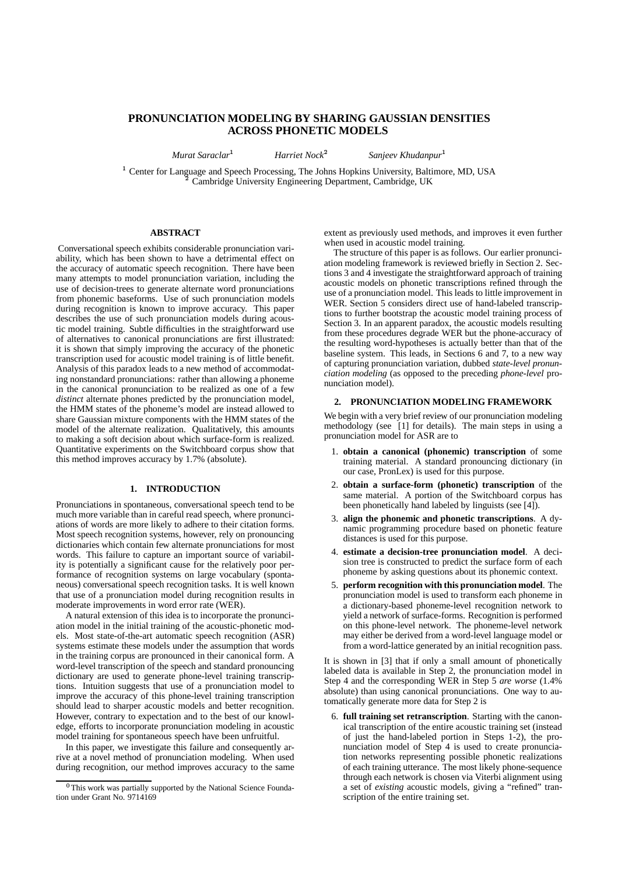# **PRONUNCIATION MODELING BY SHARING GAUSSIAN DENSITIES ACROSS PHONETIC MODELS**

*Murat Saraclar*

*Harriet Nock*

*Sanjeev Khudanpur*

<sup>1</sup> Center for Language and Speech Processing, The Johns Hopkins University, Baltimore, MD, USA Cambridge University Engineering Department, Cambridge, UK

#### **ABSTRACT**

Conversational speech exhibits considerable pronunciation variability, which has been shown to have a detrimental effect on the accuracy of automatic speech recognition. There have been many attempts to model pronunciation variation, including the use of decision-trees to generate alternate word pronunciations from phonemic baseforms. Use of such pronunciation models during recognition is known to improve accuracy. This paper describes the use of such pronunciation models during acoustic model training. Subtle difficulties in the straightforward use of alternatives to canonical pronunciations are first illustrated: it is shown that simply improving the accuracy of the phonetic transcription used for acoustic model training is of little benefit. Analysis of this paradox leads to a new method of accommodating nonstandard pronunciations: rather than allowing a phoneme in the canonical pronunciation to be realized as one of a few *distinct* alternate phones predicted by the pronunciation model, the HMM states of the phoneme's model are instead allowed to share Gaussian mixture components with the HMM states of the model of the alternate realization. Qualitatively, this amounts to making a soft decision about which surface-form is realized. Quantitative experiments on the Switchboard corpus show that this method improves accuracy by 1.7% (absolute).

#### **1. INTRODUCTION**

Pronunciations in spontaneous, conversational speech tend to be much more variable than in careful read speech, where pronunciations of words are more likely to adhere to their citation forms. Most speech recognition systems, however, rely on pronouncing dictionaries which contain few alternate pronunciations for most words. This failure to capture an important source of variability is potentially a significant cause for the relatively poor performance of recognition systems on large vocabulary (spontaneous) conversational speech recognition tasks. It is well known that use of a pronunciation model during recognition results in moderate improvements in word error rate (WER).

A natural extension of this idea is to incorporate the pronunciation model in the initial training of the acoustic-phonetic models. Most state-of-the-art automatic speech recognition (ASR) systems estimate these models under the assumption that words in the training corpus are pronounced in their canonical form. A word-level transcription of the speech and standard pronouncing dictionary are used to generate phone-level training transcriptions. Intuition suggests that use of a pronunciation model to improve the accuracy of this phone-level training transcription should lead to sharper acoustic models and better recognition. However, contrary to expectation and to the best of our knowledge, efforts to incorporate pronunciation modeling in acoustic model training for spontaneous speech have been unfruitful.

In this paper, we investigate this failure and consequently arrive at a novel method of pronunciation modeling. When used during recognition, our method improves accuracy to the same extent as previously used methods, and improves it even further when used in acoustic model training.

The structure of this paper is as follows. Our earlier pronunciation modeling framework is reviewed briefly in Section 2. Sections 3 and 4 investigate the straightforward approach of training acoustic models on phonetic transcriptions refined through the use of a pronunciation model. This leads to little improvement in WER. Section 5 considers direct use of hand-labeled transcriptions to further bootstrap the acoustic model training process of Section 3. In an apparent paradox, the acoustic models resulting from these procedures degrade WER but the phone-accuracy of the resulting word-hypotheses is actually better than that of the baseline system. This leads, in Sections 6 and 7, to a new way of capturing pronunciation variation, dubbed *state-level pronunciation modeling* (as opposed to the preceding *phone-level* pronunciation model).

#### **2. PRONUNCIATION MODELING FRAMEWORK**

We begin with a very brief review of our pronunciation modeling methodology (see [1] for details). The main steps in using a pronunciation model for ASR are to

- 1. **obtain a canonical (phonemic) transcription** of some training material. A standard pronouncing dictionary (in our case, PronLex) is used for this purpose.
- 2. **obtain a surface-form (phonetic) transcription** of the same material. A portion of the Switchboard corpus has been phonetically hand labeled by linguists (see [4]).
- 3. **align the phonemic and phonetic transcriptions**. A dynamic programming procedure based on phonetic feature distances is used for this purpose.
- 4. **estimate a decision-tree pronunciation model**. A decision tree is constructed to predict the surface form of each phoneme by asking questions about its phonemic context.
- 5. **perform recognition with this pronunciation model**. The pronunciation model is used to transform each phoneme in a dictionary-based phoneme-level recognition network to yield a network of surface-forms. Recognition is performed on this phone-level network. The phoneme-level network may either be derived from a word-level language model or from a word-lattice generated by an initial recognition pass.

It is shown in [3] that if only a small amount of phonetically labeled data is available in Step 2, the pronunciation model in Step 4 and the corresponding WER in Step 5 *are worse* (1.4% absolute) than using canonical pronunciations. One way to automatically generate more data for Step 2 is

6. **full training set retranscription**. Starting with the canonical transcription of the entire acoustic training set (instead of just the hand-labeled portion in Steps 1-2), the pronunciation model of Step 4 is used to create pronunciation networks representing possible phonetic realizations of each training utterance. The most likely phone-sequence through each network is chosen via Viterbi alignment using a set of *existing* acoustic models, giving a "refined" transcription of the entire training set.

<sup>&</sup>lt;sup>0</sup>This work was partially supported by the National Science Foundation under Grant No. 9714169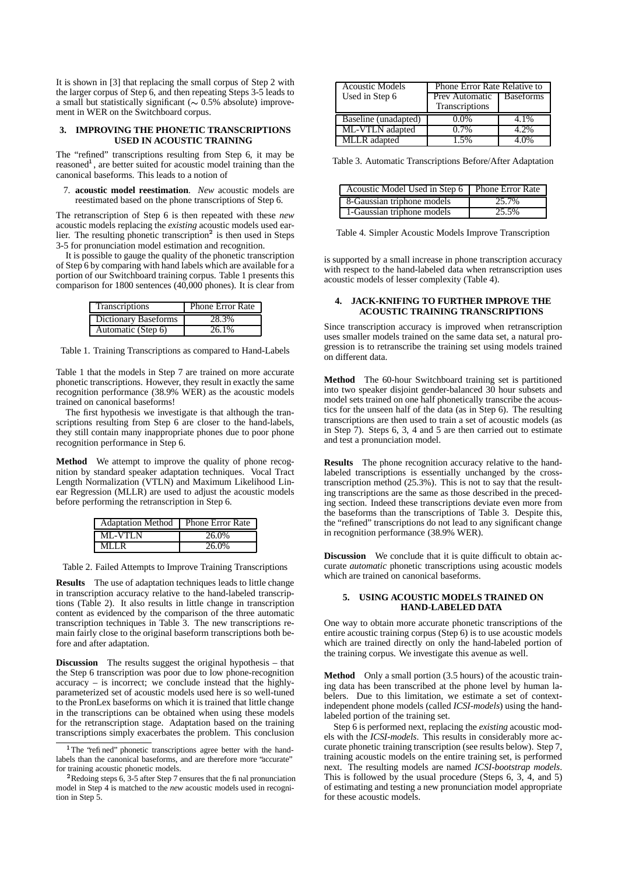It is shown in [3] that replacing the small corpus of Step 2 with the larger corpus of Step 6, and then repeating Steps 3-5 leads to a small but statistically significant ( $\sim 0.5\%$  absolute) improvement in WER on the Switchboard corpus.

### **3. IMPROVING THE PHONETIC TRANSCRIPTIONS USED IN ACOUSTIC TRAINING**

The "refined" transcriptions resulting from Step 6, it may be reasoned<sup>1</sup>, are better suited for acoustic model training than the canonical baseforms. This leads to a notion of

7. **acoustic model reestimation**. *New* acoustic models are reestimated based on the phone transcriptions of Step 6.

The retranscription of Step 6 is then repeated with these *new* acoustic models replacing the *existing* acoustic models used earlier. The resulting phonetic transcription<sup>2</sup> is then used in Steps 3-5 for pronunciation model estimation and recognition.

It is possible to gauge the quality of the phonetic transcription of Step 6 by comparing with hand labels which are available for a portion of our Switchboard training corpus. Table 1 presents this comparison for 1800 sentences (40,000 phones). It is clear from

| Transcriptions       | <b>Phone Error Rate</b> |
|----------------------|-------------------------|
| Dictionary Baseforms | 28.3%                   |
| Automatic (Step 6)   | 26.1%                   |

Table 1. Training Transcriptions as compared to Hand-Labels

Table 1 that the models in Step 7 are trained on more accurate phonetic transcriptions. However, they result in exactly the same recognition performance (38.9% WER) as the acoustic models trained on canonical baseforms!

The first hypothesis we investigate is that although the transcriptions resulting from Step 6 are closer to the hand-labels, they still contain many inappropriate phones due to poor phone recognition performance in Step 6.

**Method** We attempt to improve the quality of phone recognition by standard speaker adaptation techniques. Vocal Tract Length Normalization (VTLN) and Maximum Likelihood Linear Regression (MLLR) are used to adjust the acoustic models before performing the retranscription in Step 6.

| Adaptation Method   Phone Error Rate |          |
|--------------------------------------|----------|
| ML-VTLN                              | 26.0%    |
| MLLR                                 | $26.0\%$ |

Table 2. Failed Attempts to Improve Training Transcriptions

**Results** The use of adaptation techniques leads to little change in transcription accuracy relative to the hand-labeled transcriptions (Table 2). It also results in little change in transcription content as evidenced by the comparison of the three automatic transcription techniques in Table 3. The new transcriptions remain fairly close to the original baseform transcriptions both before and after adaptation.

**Discussion** The results suggest the original hypothesis – that the Step 6 transcription was poor due to low phone-recognition accuracy – is incorrect; we conclude instead that the highlyparameterized set of acoustic models used here is so well-tuned to the PronLex baseforms on which it is trained that little change in the transcriptions can be obtained when using these models for the retranscription stage. Adaptation based on the training transcriptions simply exacerbates the problem. This conclusion

| <b>Acoustic Models</b> | Phone Error Rate Relative to |                  |  |
|------------------------|------------------------------|------------------|--|
| Used in Step 6         | Prev Automatic               | <b>Baseforms</b> |  |
|                        | Transcriptions               |                  |  |
| Baseline (unadapted)   | $1.0\%$                      | 4.1%             |  |
| ML-VTLN adapted        | $0.7\%$                      | 4.2%             |  |
| MLLR adapted           | 1.5%                         | 4 በ%             |  |

Table 3. Automatic Transcriptions Before/After Adaptation

| Acoustic Model Used in Step 6   Phone Error Rate |       |
|--------------------------------------------------|-------|
| 8-Gaussian triphone models                       | 25.7% |
| 1-Gaussian triphone models                       | 25.5% |

Table 4. Simpler Acoustic Models Improve Transcription

is supported by a small increase in phone transcription accuracy with respect to the hand-labeled data when retranscription uses acoustic models of lesser complexity (Table 4).

# **4. JACK-KNIFING TO FURTHER IMPROVE THE ACOUSTIC TRAINING TRANSCRIPTIONS**

Since transcription accuracy is improved when retranscription uses smaller models trained on the same data set, a natural progression is to retranscribe the training set using models trained on different data.

**Method** The 60-hour Switchboard training set is partitioned into two speaker disjoint gender-balanced 30 hour subsets and model sets trained on one half phonetically transcribe the acoustics for the unseen half of the data (as in Step 6). The resulting transcriptions are then used to train a set of acoustic models (as in Step 7). Steps 6, 3, 4 and 5 are then carried out to estimate and test a pronunciation model.

**Results** The phone recognition accuracy relative to the handlabeled transcriptions is essentially unchanged by the crosstranscription method (25.3%). This is not to say that the resulting transcriptions are the same as those described in the preceding section. Indeed these transcriptions deviate even more from the baseforms than the transcriptions of Table 3. Despite this, the "refined" transcriptions do not lead to any significant change in recognition performance (38.9% WER).

**Discussion** We conclude that it is quite difficult to obtain accurate *automatic* phonetic transcriptions using acoustic models which are trained on canonical baseforms.

## **5. USING ACOUSTIC MODELS TRAINED ON HAND-LABELED DATA**

One way to obtain more accurate phonetic transcriptions of the entire acoustic training corpus (Step 6) is to use acoustic models which are trained directly on only the hand-labeled portion of the training corpus. We investigate this avenue as well.

**Method** Only a small portion (3.5 hours) of the acoustic training data has been transcribed at the phone level by human labelers. Due to this limitation, we estimate a set of contextindependent phone models (called *ICSI-models*) using the handlabeled portion of the training set.

Step 6 is performed next, replacing the *existing* acoustic models with the *ICSI-models*. This results in considerably more accurate phonetic training transcription (see results below). Step 7, training acoustic models on the entire training set, is performed next. The resulting models are named *ICSI-bootstrap models*. This is followed by the usual procedure (Steps 6, 3, 4, and 5) of estimating and testing a new pronunciation model appropriate for these acoustic models.

<sup>&</sup>lt;sup>1</sup>The 'refined' phonetic transcriptions agree better with the handlabels than the canonical baseforms, and are therefore more "accurate" for training acoustic phonetic models.

 $2$ Redoing steps 6, 3-5 after Step 7 ensures that the final pronunciation model in Step 4 is matched to the *new* acoustic models used in recognition in Step 5.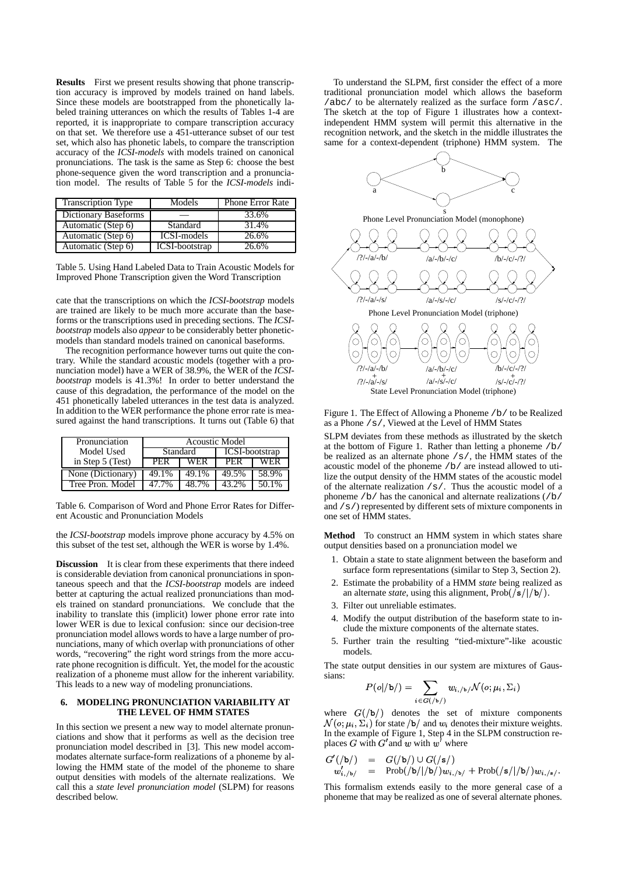**Results** First we present results showing that phone transcription accuracy is improved by models trained on hand labels. Since these models are bootstrapped from the phonetically labeled training utterances on which the results of Tables 1-4 are reported, it is inappropriate to compare transcription accuracy on that set. We therefore use a 451-utterance subset of our test set, which also has phonetic labels, to compare the transcription accuracy of the *ICSI-models* with models trained on canonical pronunciations. The task is the same as Step 6: choose the best phone-sequence given the word transcription and a pronunciation model. The results of Table 5 for the *ICSI-models* indi-

| <b>Transcription Type</b> | Models                | <b>Phone Error Rate</b> |
|---------------------------|-----------------------|-------------------------|
| Dictionary Baseforms      |                       | 33.6%                   |
| Automatic (Step 6)        | Standard              | 31.4%                   |
| Automatic (Step 6)        | ICSI-models           | 26.6%                   |
| Automatic (Step 6)        | <b>ICSI-bootstrap</b> | 26.6%                   |

Table 5. Using Hand Labeled Data to Train Acoustic Models for Improved Phone Transcription given the Word Transcription

cate that the transcriptions on which the *ICSI-bootstrap* models are trained are likely to be much more accurate than the baseforms or the transcriptions used in preceding sections. The *ICSIbootstrap* models also *appear* to be considerably better phoneticmodels than standard models trained on canonical baseforms.

The recognition performance however turns out quite the contrary. While the standard acoustic models (together with a pronunciation model) have a WER of 38.9%, the WER of the *ICSIbootstrap* models is 41.3%! In order to better understand the cause of this degradation, the performance of the model on the 451 phonetically labeled utterances in the test data is analyzed. In addition to the WER performance the phone error rate is measured against the hand transcriptions. It turns out (Table 6) that

| Pronunciation     | <b>Acoustic Model</b> |            |                       |       |
|-------------------|-----------------------|------------|-----------------------|-------|
| Model Used        | Standard              |            | <b>ICSI-bootstrap</b> |       |
| in Step 5 (Test)  | PER                   | <b>WER</b> | PER                   | WFR   |
| None (Dictionary) | 49.1%                 | 49.1%      | 49.5%                 | 58.9% |
| Tree Pron. Model  | 47 7%                 | 48.7%      | 43.2%                 | 50.1% |

Table 6. Comparison of Word and Phone Error Rates for Different Acoustic and Pronunciation Models

the *ICSI-bootstrap* models improve phone accuracy by 4.5% on this subset of the test set, although the WER is worse by 1.4%.

**Discussion** It is clear from these experiments that there indeed is considerable deviation from canonical pronunciations in spontaneous speech and that the *ICSI-bootstrap* models are indeed better at capturing the actual realized pronunciations than models trained on standard pronunciations. We conclude that the inability to translate this (implicit) lower phone error rate into lower WER is due to lexical confusion: since our decision-tree pronunciation model allows words to have a large number of pronunciations, many of which overlap with pronunciations of other words, "recovering" the right word strings from the more accurate phone recognition is difficult. Yet, the model for the acoustic realization of a phoneme must allow for the inherent variability. This leads to a new way of modeling pronunciations.

## **6. MODELING PRONUNCIATION VARIABILITY AT THE LEVEL OF HMM STATES**

In this section we present a new way to model alternate pronunciations and show that it performs as well as the decision tree pronunciation model described in [3]. This new model accommodates alternate surface-form realizations of a phoneme by allowing the HMM state of the model of the phoneme to share output densities with models of the alternate realizations. We call this a *state level pronunciation model* (SLPM) for reasons described below.

To understand the SLPM, first consider the effect of a more traditional pronunciation model which allows the baseform /abc/ to be alternately realized as the surface form /asc/. The sketch at the top of Figure 1 illustrates how a contextindependent HMM system will permit this alternative in the recognition network, and the sketch in the middle illustrates the same for a context-dependent (triphone) HMM system. The



Figure 1. The Effect of Allowing a Phoneme /b/ to be Realized as a Phone /s/, Viewed at the Level of HMM States

SLPM deviates from these methods as illustrated by the sketch at the bottom of Figure 1. Rather than letting a phoneme /b/ be realized as an alternate phone  $/s/$ , the HMM states of the acoustic model of the phoneme /b/ are instead allowed to utilize the output density of the HMM states of the acoustic model of the alternate realization  $/s/$ . Thus the acoustic model of a phoneme /b/ has the canonical and alternate realizations (/b/ and  $/s$  / represented by different sets of mixture components in one set of HMM states.

**Method** To construct an HMM system in which states share output densities based on a pronunciation model we

- 1. Obtain a state to state alignment between the baseform and surface form representations (similar to Step 3, Section 2).
- 2. Estimate the probability of a HMM *state* being realized as an alternate *state*, using this alignment,  $Prob( / s / | / b / )$ .
- 3. Filter out unreliable estimates.
- 4. Modify the output distribution of the baseform state to include the mixture components of the alternate states.
- 5. Further train the resulting "tied-mixture"-like acoustic models.

The state output densities in our system are mixtures of Gaussians:

$$
P(o|/b)) = \sum_{i \in G(\bigr/\mathfrak{b}\mathfrak{f})} w_{i,\mathfrak{f}\mathfrak{b}\mathfrak{f}} \mathcal{N}(o;\mu_i,\Sigma_i)
$$

where  $G(|b|)$  denotes the set of mixture components  $\mathcal{N}(o; \mu_i, \Sigma_i)$  for state  $\sqrt{b}$  and  $w_i$  denotes their mixture weights. In the example of Figure 1, Step 4 in the SLPM construction replaces G with  $G'$  and w with  $w'$  where

$$
\begin{array}{lcl} G'(\slash{\mathtt{b}}/) & = & G(\slash{\mathtt{b}}/) \cup G(\slash{\mathtt{s}}/) \\ w'_{i,\backslash{\mathtt{b}}/} & = & \mathrm{Prob}(\slash{\mathtt{b}}/|\slash{\mathtt{b}}/)w_{i,\backslash{\mathtt{b}}/} + \mathrm{Prob}(\slash{\mathtt{s}}/|\slash{\mathtt{b}}/)w_{i,\backslash{\mathtt{s}}/}. \end{array}
$$

! ! ! This formalism extends easily to the more general case of a phoneme that may be realized as one of several alternate phones.